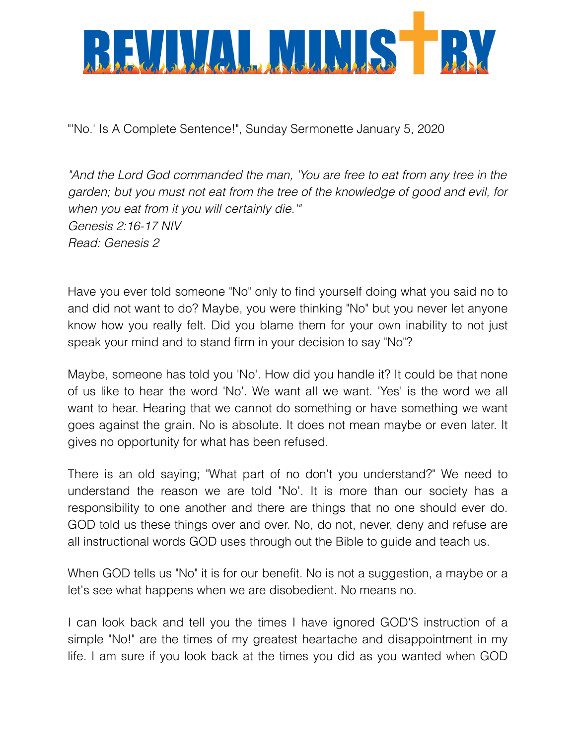

"'No.' Is A Complete Sentence!", Sunday Sermonette January 5, 2020

*"And the Lord God commanded the man, 'You are free to eat from any tree in the garden; but you must not eat from the tree of the knowledge of good and evil, for when you eat from it you will certainly die.'" Genesis 2:16-17 NIV Read: Genesis 2* 

Have you ever told someone "No" only to find yourself doing what you said no to and did not want to do? Maybe, you were thinking "No" but you never let anyone know how you really felt. Did you blame them for your own inability to not just speak your mind and to stand firm in your decision to say "No"?

Maybe, someone has told you 'No'. How did you handle it? It could be that none of us like to hear the word 'No'. We want all we want. 'Yes' is the word we all want to hear. Hearing that we cannot do something or have something we want goes against the grain. No is absolute. It does not mean maybe or even later. It gives no opportunity for what has been refused.

There is an old saying; "What part of no don't you understand?" We need to understand the reason we are told "No'. It is more than our society has a responsibility to one another and there are things that no one should ever do. GOD told us these things over and over. No, do not, never, deny and refuse are all instructional words GOD uses through out the Bible to guide and teach us.

When GOD tells us "No" it is for our benefit. No is not a suggestion, a maybe or a let's see what happens when we are disobedient. No means no.

I can look back and tell you the times I have ignored GOD'S instruction of a simple "No!" are the times of my greatest heartache and disappointment in my life. I am sure if you look back at the times you did as you wanted when GOD